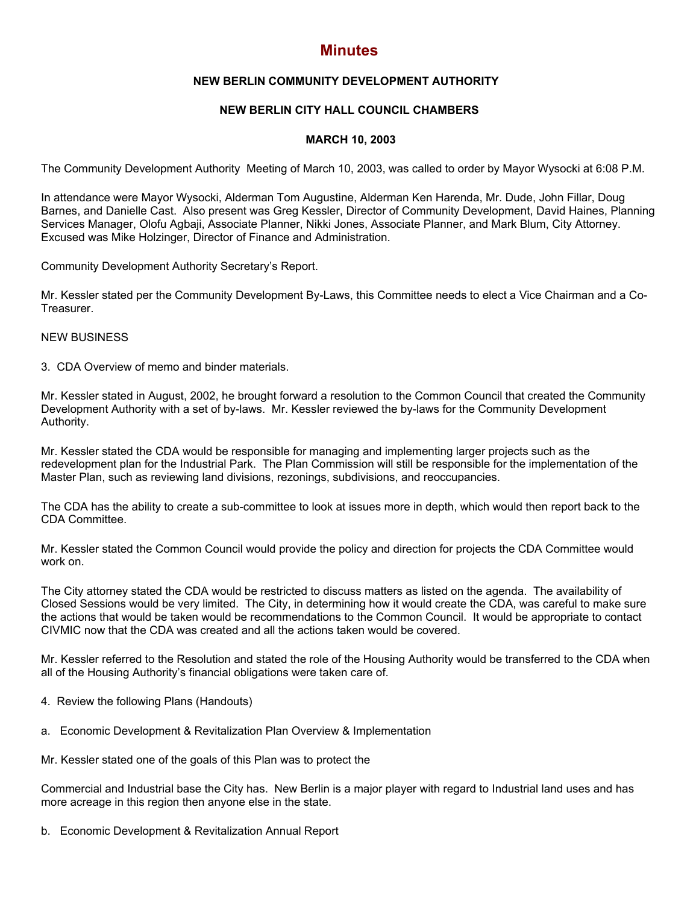# **Minutes**

## **NEW BERLIN COMMUNITY DEVELOPMENT AUTHORITY**

## **NEW BERLIN CITY HALL COUNCIL CHAMBERS**

#### **MARCH 10, 2003**

The Community Development Authority Meeting of March 10, 2003, was called to order by Mayor Wysocki at 6:08 P.M.

In attendance were Mayor Wysocki, Alderman Tom Augustine, Alderman Ken Harenda, Mr. Dude, John Fillar, Doug Barnes, and Danielle Cast. Also present was Greg Kessler, Director of Community Development, David Haines, Planning Services Manager, Olofu Agbaji, Associate Planner, Nikki Jones, Associate Planner, and Mark Blum, City Attorney. Excused was Mike Holzinger, Director of Finance and Administration.

Community Development Authority Secretary's Report.

Mr. Kessler stated per the Community Development By-Laws, this Committee needs to elect a Vice Chairman and a Co-Treasurer.

#### NEW BUSINESS

3. CDA Overview of memo and binder materials.

Mr. Kessler stated in August, 2002, he brought forward a resolution to the Common Council that created the Community Development Authority with a set of by-laws. Mr. Kessler reviewed the by-laws for the Community Development Authority.

Mr. Kessler stated the CDA would be responsible for managing and implementing larger projects such as the redevelopment plan for the Industrial Park. The Plan Commission will still be responsible for the implementation of the Master Plan, such as reviewing land divisions, rezonings, subdivisions, and reoccupancies.

The CDA has the ability to create a sub-committee to look at issues more in depth, which would then report back to the CDA Committee.

Mr. Kessler stated the Common Council would provide the policy and direction for projects the CDA Committee would work on.

The City attorney stated the CDA would be restricted to discuss matters as listed on the agenda. The availability of Closed Sessions would be very limited. The City, in determining how it would create the CDA, was careful to make sure the actions that would be taken would be recommendations to the Common Council. It would be appropriate to contact CIVMIC now that the CDA was created and all the actions taken would be covered.

Mr. Kessler referred to the Resolution and stated the role of the Housing Authority would be transferred to the CDA when all of the Housing Authority's financial obligations were taken care of.

- 4. Review the following Plans (Handouts)
- a. Economic Development & Revitalization Plan Overview & Implementation

Mr. Kessler stated one of the goals of this Plan was to protect the

Commercial and Industrial base the City has. New Berlin is a major player with regard to Industrial land uses and has more acreage in this region then anyone else in the state.

b. Economic Development & Revitalization Annual Report